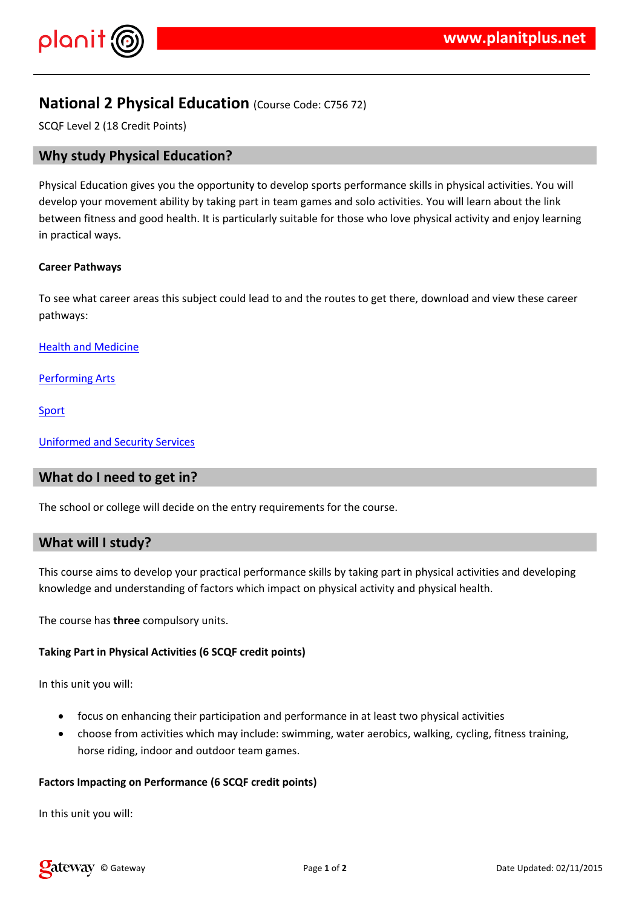$\frac{1}{2}$  # \$ % % &

 $\frac{1}{2}$  % (  $\frac{4}{2}$  ) ( % &  $\frac{1}{2}$  & %  $\frac{1}{2}$  # \* & (+%# & % (# (%"%+)#  $\frac{1}{2}$  #  $\frac{1}{2}$  +  $\frac{1}{2}$  +  $\frac{1}{2}$  8 . . % # % & % & \* \* 8 & # ( % "% # # # , & .  $8\%$  &  $8\%$  &  $\%$   $\#$  % (# %# .#  $\frac{1}{2}$   $\frac{1}{2}$   $\frac{1}{2}$   $\frac{1}{2}$   $\frac{1}{2}$   $\frac{1}{2}$   $\frac{1}{2}$   $\frac{1}{2}$   $\frac{1}{2}$   $\frac{1}{2}$   $\frac{1}{2}$   $\frac{1}{2}$   $\frac{1}{2}$   $\frac{1}{2}$   $\frac{1}{2}$   $\frac{1}{2}$   $\frac{1}{2}$   $\frac{1}{2}$   $\frac{1}{2}$   $\frac{1}{2}$   $\frac{1}{2}$   $\frac{1}{2}$   $% 8 (% 4, )$ 

1 (  $0 \sqrt{6}$  (## & ' 2 & # & "% '

 $3$  #  $8$  4 % (% &

 $*$  % & 5

 $8\%$  \*  $8$  ( % "%)

 $1'$  (' # ( ##  $\frac{6}{1}$  % # # ( % & ' & 6 % \* & ' ( ),

 $1'$ % (  $($  %  $($  #  $*$  &  $($  +  $+$   $\frac{4}{9}$  &  $+$  %  $($   $\frac{4}{9}$   $+$   $($   $\frac{9}{9}$   $\frac{1}{9}$  %  $\frac{4}{9}$   $+$ % \*\* #  $\frac{0}{0}$  $+8$  #  $8$   $8$   $8(%8$  '% (  $8$  '% (  $\frac{9}{100}$  '% (  $\frac{9}{100}$  '% (  $\frac{9}{100}$  '% (  $\frac{9}{100}$  '% (  $\frac{9}{100}$  (  $\frac{9}{100}$  (  $\frac{9}{100}$  (  $\frac{9}{100}$  (  $\frac{9}{100}$  (  $\frac{9}{100}$  (  $\frac{9}{100}$  (  $\frac{9}{100}$  (  $\frac{9$ 

 $1'$  (  $'$   $($   $#$   $&8\%$  ,

 $!$  " #\$ %

/ & ' % & %% # #

 $( 8 8' 8' )\%$  8 (9% 9% 9% 88% 9% 8) # % ( # ( % "% 9%\* ( % "% % % % & 2 ( (# % % 2% #/a & % & &  $($ ' % % & 2 % & &  $\begin{array}{cccc} \star & \star & , \end{array}$ 

 $\frac{1}{2}$  8 8 1 1 1 2 4 5 1 2 3 1 2 3 4 5 1 2 3 4 5 2 3 4 5 2 3 4 5 2 3 4 5 2 3 4 5 2 3 4 5 2 3 4 5 2 3 4 5 2 3 4 5 2 3 4 5  $\frac{1}{2}$ 

/ & ' % & %% # #